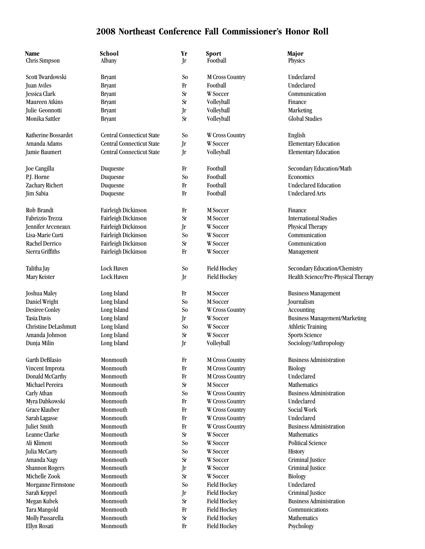| Name<br>Chris Simpson | School<br>Albany                 | Yr<br>Jr       | Sport<br>Football      | Major<br>Physics                     |
|-----------------------|----------------------------------|----------------|------------------------|--------------------------------------|
| Scott Twardowski      |                                  |                |                        |                                      |
|                       | <b>Bryant</b>                    | So             | <b>M Cross Country</b> | Undeclared                           |
| <b>Juan Aviles</b>    | <b>Bryant</b>                    | Fr             | Football               | Undeclared                           |
| Jessica Clark         | <b>Bryant</b>                    | <b>Sr</b>      | W Soccer               | Communication                        |
| Maureen Atkins        | <b>Bryant</b>                    | <b>Sr</b>      | Volleyball             | Finance                              |
| Julie Geonnotti       | <b>Bryant</b>                    | Jr             | Volleyball             | Marketing                            |
| Monika Sattler        | <b>Bryant</b>                    | <b>Sr</b>      | Volleyball             | <b>Global Studies</b>                |
| Katherine Bossardet   | <b>Central Connecticut State</b> | S <sub>o</sub> | W Cross Country        | English                              |
| Amanda Adams          | <b>Central Connecticut State</b> | Jr             | W Soccer               | <b>Elementary Education</b>          |
| Jamie Baumert         | Central Connecticut State        | Jr             | Volleyball             | <b>Elementary Education</b>          |
| Joe Cangilla          | Duquesne                         | $_{\rm Fr}$    | Football               | Secondary Education/Math             |
| P.J. Horne            | Duquesne                         | S <sub>o</sub> | Football               | Economics                            |
| Zachary Richert       | Duquesne                         | Fr             | Football               | <b>Undeclared Education</b>          |
| Jim Sabia             | Duquesne                         | $_{\rm Fr}$    | Football               | <b>Undeclared Arts</b>               |
| Rob Brandt            | Fairleigh Dickinson              | $_{\rm Fr}$    | M Soccer               | Finance                              |
| Fabrizzio Trezza      | Fairleigh Dickinson              | <b>Sr</b>      | M Soccer               | <b>International Studies</b>         |
| Jennifer Arceneaux    | Fairleigh Dickinson              | Jr             | W Soccer               | Physical Therapy                     |
| Lisa-Marie Curti      | Fairleigh Dickinson              | S <sub>o</sub> | W Soccer               | Communication                        |
| <b>Rachel Derrico</b> | Fairleigh Dickinson              | <b>Sr</b>      | W Soccer               | Communication                        |
| Sierra Griffiths      | Fairleigh Dickinson              | $_{\rm Fr}$    | W Soccer               | Management                           |
| Talitha Jay           | Lock Haven                       | S <sub>o</sub> | <b>Field Hockey</b>    | Secondary Education/Chemistry        |
| Mary Keister          | Lock Haven                       | Jr             | <b>Field Hockey</b>    | Health Science/Pre-Physical Therapy  |
|                       |                                  |                |                        |                                      |
| Joshua Maley          | Long Island                      | Fr             | M Soccer               | <b>Business Management</b>           |
| Daniel Wright         | Long Island                      | So             | M Soccer               | Journalism                           |
| <b>Desiree Conley</b> | Long Island                      | S <sub>o</sub> | W Cross Country        | Accounting                           |
| <b>Tasia Davis</b>    | Long Island                      | Jr             | W Soccer               | <b>Business Management/Marketing</b> |
| Christine DeLashmutt  | Long Island                      | S <sub>o</sub> | W Soccer               | <b>Athletic Training</b>             |
| Amanda Johnson        | Long Island                      | <b>Sr</b>      | W Soccer               | <b>Sports Science</b>                |
| Dunja Milin           | Long Island                      | Jr             | Volleyball             | Sociology/Anthropology               |
| <b>Garth DeBlasio</b> | Monmouth                         | $_{\rm Fr}$    | <b>M Cross Country</b> | <b>Business Administration</b>       |
| Vincent Improta       | Monmouth                         | $_{\rm Fr}$    | <b>M Cross Country</b> | <b>Biology</b>                       |
| Donald McCarthy       | Monmouth                         | $_{\rm Fr}$    | <b>M Cross Country</b> | Undeclared                           |
| Michael Pereira       | Monmouth                         | <b>Sr</b>      | M Soccer               | Mathematics                          |
| Carly Athan           | Monmouth                         | S <sub>o</sub> | <b>W</b> Cross Country | <b>Business Administration</b>       |
| Myra Dabkowski        | Monmouth                         | $_{\rm Fr}$    | <b>W</b> Cross Country | Undeclared                           |
| Grace Klauber         | Monmouth                         | $_{\rm Fr}$    | W Cross Country        | Social Work                          |
| Sarah Lagasse         | Monmouth                         | Fr             | W Cross Country        | Undeclared                           |
| Juliet Smith          | Monmouth                         | $_{\rm Fr}$    | <b>W</b> Cross Country | <b>Business Administration</b>       |
| Leanne Clarke         | Monmouth                         | <b>Sr</b>      | W Soccer               | <b>Mathematics</b>                   |
| Ali Kliment           | Monmouth                         | S <sub>o</sub> | W Soccer               | <b>Political Science</b>             |
| Julia McCarty         | Monmouth                         | S <sub>o</sub> | W Soccer               | <b>History</b>                       |
| Amanda Nagy           | Monmouth                         | <b>Sr</b>      | W Soccer               | Criminal Justice                     |
| <b>Shannon Rogers</b> | Monmouth                         | Jr             | W Soccer               | Criminal Justice                     |
| Michelle Zook         | Monmouth                         | <b>Sr</b>      | W Soccer               | <b>Biology</b>                       |
| Morganne Firmstone    | Monmouth                         | S <sub>o</sub> | <b>Field Hockey</b>    | Undeclared                           |
| Sarah Keppel          | Monmouth                         | Jr             | <b>Field Hockey</b>    | Criminal Justice                     |
| Megan Kubek           | Monmouth                         | <b>Sr</b>      | <b>Field Hockey</b>    | <b>Business Administration</b>       |
| Tara Mangold          | Monmouth                         | $_{\rm Fr}$    | <b>Field Hockey</b>    | Communications                       |
| Molly Passarella      | Monmouth                         | <b>Sr</b>      | <b>Field Hockey</b>    | Mathematics                          |
| Ellyn Rosati          | Monmouth                         | Fr             | <b>Field Hockey</b>    | Psychology                           |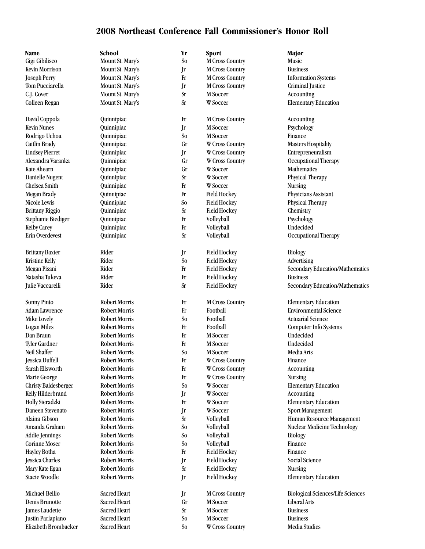| Name                                          | School               | Yr              | <b>Sport</b>                       | Major                                     |
|-----------------------------------------------|----------------------|-----------------|------------------------------------|-------------------------------------------|
| Gigi Gibilisco                                | Mount St. Mary's     | S <sub>o</sub>  | <b>M Cross Country</b>             | Music                                     |
| <b>Kevin Morrison</b>                         | Mount St. Mary's     | Jr              | M Cross Country                    | <b>Business</b>                           |
| <b>Joseph Perry</b>                           | Mount St. Mary's     | Fr              | M Cross Country                    | <b>Information Systems</b>                |
| Tom Pucciarella                               | Mount St. Mary's     | Jr              | <b>M Cross Country</b>             | Criminal Justice                          |
| C.J. Cover                                    | Mount St. Mary's     | <b>Sr</b>       | M Soccer                           | Accounting                                |
| Colleen Regan                                 | Mount St. Mary's     | <b>Sr</b>       | W Soccer                           | <b>Elementary Education</b>               |
|                                               |                      |                 |                                    |                                           |
| David Coppola                                 | Quinnipiac           | $_{\rm Fr}$     | M Cross Country                    | Accounting                                |
| <b>Kevin Nunes</b>                            | Quinnipiac           | Jr              | M Soccer                           | Psychology                                |
| Rodrigo Uchoa                                 | Quinnipiac           | So              | M Soccer                           | Finance                                   |
| Caitlin Brady                                 | Quinnipiac           | Gr              | W Cross Country                    | <b>Masters Hospitality</b>                |
| <b>Lindsey Pierret</b>                        | Quinnipiac           | Jr              | W Cross Country                    | Entrepreneuralism                         |
| Alexandra Varanka                             | Quinnipiac           | Gr              | W Cross Country                    | Occupational Therapy                      |
| Kate Ahearn                                   | Quinnipiac           | Gr              | W Soccer                           | Mathematics                               |
| Danielle Nugent                               | Quinnipiac           | <b>Sr</b>       | W Soccer                           | Physical Therapy                          |
| Chelsea Smith                                 | Quinnipiac           | Fr              | <b>W</b> Soccer                    | <b>Nursing</b>                            |
| Megan Brady                                   | Quinnipiac           | Fr              | <b>Field Hockey</b>                | Physicians Assistant                      |
| Nicole Lewis                                  | Quinnipiac           | So              | <b>Field Hockey</b>                | Physical Therapy                          |
| <b>Brittany Riggio</b>                        | Quinnipiac           | <b>Sr</b>       | <b>Field Hockey</b>                | Chemistry                                 |
| Stephanie Biediger                            | Quinnipiac           | Fr              | Volleyball                         | Psychology                                |
| <b>Kelby Carey</b>                            | Quinnipiac           | Fr              | Volleyball                         | Undecided                                 |
| Erin Overdevest                               | Quinnipiac           | <b>Sr</b>       | Volleyball                         | Occupational Therapy                      |
|                                               |                      |                 |                                    |                                           |
| <b>Brittany Baxter</b>                        | Rider                | Jr              | <b>Field Hockey</b>                | Biology                                   |
| <b>Kristine Kelly</b>                         | Rider                | So              | <b>Field Hockey</b>                | Advertising                               |
| Megan Pisani                                  | Rider                | Fr              | <b>Field Hockey</b>                | Secondary Education/Mathematics           |
| Natasha Tukeva                                | Rider                | Fr              | <b>Field Hockey</b>                | <b>Business</b>                           |
| Julie Vaccarelli                              | Rider                | <b>Sr</b>       | <b>Field Hockey</b>                | Secondary Education/Mathematics           |
| <b>Sonny Pinto</b>                            | Robert Morris        | Fr              | M Cross Country                    | <b>Elementary Education</b>               |
| Adam Lawrence                                 | Robert Morris        | Fr              | Football                           | <b>Environmental Science</b>              |
| Mike Lovely                                   | Robert Morris        | S <sub>o</sub>  | Football                           | <b>Actuarial Science</b>                  |
|                                               | Robert Morris        | Fr              | Football                           |                                           |
| <b>Logan Miles</b><br>Dan Braun               | Robert Morris        | Fr              | M Soccer                           | Computer Info Systems<br>Undecided        |
| Tyler Gardner                                 | Robert Morris        | Fr              | M Soccer                           | Undecided                                 |
| Neil Shaffer                                  | <b>Robert Morris</b> | S <sub>o</sub>  | M Soccer                           | Media Arts                                |
| Jessica Duffell                               | <b>Robert Morris</b> | Fr              | W Cross Country                    | Finance                                   |
| Sarah Ellsworth                               | <b>Robert Morris</b> | Fr              |                                    |                                           |
|                                               | <b>Robert Morris</b> | Fr              | W Cross Country<br>W Cross Country | Accounting<br><b>Nursing</b>              |
| Marie George                                  | <b>Robert Morris</b> | S <sub>0</sub>  | <b>W</b> Soccer                    |                                           |
| Christy Baldesberger<br>Kelly Hilderbrand     | <b>Robert Morris</b> |                 | W Soccer                           | <b>Elementary Education</b>               |
| Holly Sieradzki                               | <b>Robert Morris</b> | Jr<br>Fr        | W Soccer                           | Accounting<br><b>Elementary Education</b> |
| Daneen Stevenato                              | <b>Robert Morris</b> |                 | W Soccer                           |                                           |
| Alaina Gibson                                 | <b>Robert Morris</b> | Jr<br><b>Sr</b> |                                    | Sport Management                          |
| Amanda Graham                                 | <b>Robert Morris</b> | So              | Volleyball<br>Volleyball           | Human Resource Management                 |
|                                               | <b>Robert Morris</b> | So              | Volleyball                         | <b>Nuclear Medicine Technology</b>        |
| <b>Addie Jennings</b><br><b>Corinne Moser</b> | <b>Robert Morris</b> |                 |                                    | <b>Biology</b>                            |
|                                               |                      | So              | Volleyball                         | Finance                                   |
| Hayley Botha                                  | Robert Morris        | Fr              | <b>Field Hockey</b>                | Finance<br>Social Science                 |
| Jessica Charles                               | <b>Robert Morris</b> | Jr              | <b>Field Hockey</b>                |                                           |
| Mary Kate Egan                                | <b>Robert Morris</b> | Sr              | <b>Field Hockey</b>                | <b>Nursing</b>                            |
| Stacie Woodle                                 | Robert Morris        | Jr              | <b>Field Hockey</b>                | <b>Elementary Education</b>               |
| Michael Bellio                                | Sacred Heart         | Jr              | <b>M Cross Country</b>             | <b>Biological Sciences/Life Sciences</b>  |
| Denis Brunotte                                | Sacred Heart         | Gr              | M Soccer                           | Liberal Arts                              |
| <b>James Laudette</b>                         | Sacred Heart         | Sr              | M Soccer                           | <b>Business</b>                           |
| Justin Parlapiano                             | Sacred Heart         | S <sub>o</sub>  | M Soccer                           | <b>Business</b>                           |
| Elizabeth Brombacker                          | Sacred Heart         | $\rm So$        | W Cross Country                    | Media Studies                             |
|                                               |                      |                 |                                    |                                           |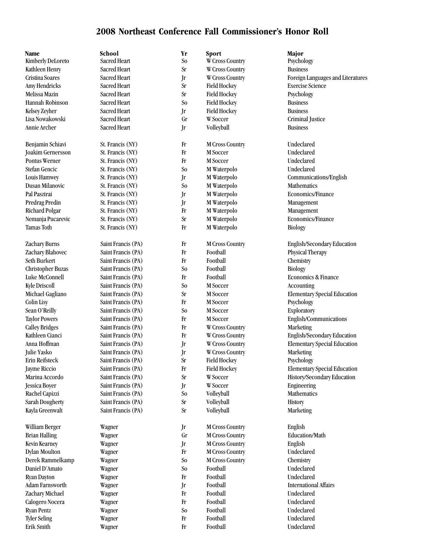| Name                                  | School              | Yr             | Sport                  | Major                        |
|---------------------------------------|---------------------|----------------|------------------------|------------------------------|
| Kimberly DeLoreto                     | <b>Sacred Heart</b> | S <sub>o</sub> | W Cross Country        | Psychology                   |
| Kathleen Henry                        | Sacred Heart        | <b>Sr</b>      | W Cross Country        | <b>Business</b>              |
| Cristina Soares                       | Sacred Heart        | Jr             | W Cross Country        | Foreign Languages and        |
| Amy Hendricks                         | Sacred Heart        | <b>Sr</b>      | <b>Field Hockey</b>    | <b>Exercise Science</b>      |
| Melissa Mazin                         | Sacred Heart        | <b>Sr</b>      | <b>Field Hockey</b>    | Psychology                   |
| Hannah Robinson                       | Sacred Heart        | S <sub>o</sub> | <b>Field Hockey</b>    | <b>Business</b>              |
| Kelsey Zeyher                         | Sacred Heart        | Jr             | <b>Field Hockey</b>    | <b>Business</b>              |
| Lisa Nowakowski                       | <b>Sacred Heart</b> | Gr             | W Soccer               | Criminal Justice             |
| Annie Archer                          | Sacred Heart        | Jr             | Volleyball             | <b>Business</b>              |
| Benjamin Schiavi                      | St. Francis (NY)    | Fr             | <b>M Cross Country</b> | Undeclared                   |
| <b>Joakim Gernersson</b>              | St. Francis (NY)    | $\rm Fr$       | M Soccer               | Undeclared                   |
| <b>Pontus Werner</b>                  | St. Francis (NY)    | Fr             | M Soccer               | Undeclared                   |
| Stefan Gencic                         | St. Francis (NY)    | S <sub>0</sub> | M Waterpolo            | Undeclared                   |
| Louis Hamwey                          | St. Francis (NY)    | Jr             | M Waterpolo            | Communications/Engl          |
| Dusan Milanovic                       | St. Francis (NY)    | S <sub>0</sub> | M Waterpolo            | Mathematics                  |
| Pal Pasztrai                          | St. Francis (NY)    | Jr             | M Waterpolo            | Economics/Finance            |
| Predrag Predin                        | St. Francis (NY)    | Jr             | M Waterpolo            | Management                   |
| Richard Polgar                        | St. Francis (NY)    | Fr             | M Waterpolo            | Management                   |
| Nemanja Pucarevic                     | St. Francis (NY)    | <b>Sr</b>      | M Waterpolo            | Economics/Finance            |
| <b>Tamas Toth</b>                     | St. Francis (NY)    | Fr             | M Waterpolo            | <b>Biology</b>               |
|                                       |                     |                |                        |                              |
| Zachary Burns                         | Saint Francis (PA)  | Fr             | <b>M Cross Country</b> | English/Secondary Ed         |
| Zachary Blahovec                      | Saint Francis (PA)  | Fr             | Football               | Physical Therapy             |
| Seth Burkert                          | Saint Francis (PA)  | Fr             | Football               | Chemistry                    |
| <b>Christopher Buzas</b>              | Saint Francis (PA)  | S <sub>0</sub> | Football               | <b>Biology</b>               |
| Luke McConnell                        | Saint Francis (PA)  | Fr             | Football               | Economics & Finance          |
| <b>Kyle Driscoll</b>                  | Saint Francis (PA)  | S <sub>0</sub> | M Soccer               | Accounting                   |
| Michael Gagliano                      | Saint Francis (PA)  | <b>Sr</b>      | M Soccer               | <b>Elementary Special Ed</b> |
| Colin Lisy                            | Saint Francis (PA)  | Fr             | M Soccer               | Psychology                   |
| Sean O'Reilly                         | Saint Francis (PA)  | S <sub>0</sub> | M Soccer               | Exploratory                  |
| <b>Taylor Powers</b>                  | Saint Francis (PA)  | Fr             | M Soccer               | English/Communicatio         |
| <b>Calley Bridges</b>                 | Saint Francis (PA)  | Fr             | W Cross Country        | Marketing                    |
| Kathleen Cianci                       | Saint Francis (PA)  | Fr             | W Cross Country        | English/Secondary Ed         |
| Anna Hoffman                          | Saint Francis (PA)  | Jr             | W Cross Country        | <b>Elementary Special Ed</b> |
| Julie Yasko                           | Saint Francis (PA)  | Jr             | <b>W</b> Cross Country | Marketing                    |
| Erin Reifsteck                        | Saint Francis (PA)  | <b>Sr</b>      | Field Hockey           | Psychology                   |
| <b>Jayme Riccio</b>                   | Saint Francis (PA)  | Fr             | <b>Field Hockey</b>    | <b>Elementary Special Ed</b> |
| Marina Accordo                        | Saint Francis (PA)  | <b>Sr</b>      | W Soccer               | History/Secondary Edu        |
| Jessica Boyer                         | Saint Francis (PA)  | Jr             | W Soccer               | Engineering                  |
| Rachel Capizzi                        | Saint Francis (PA)  | So             | Volleyball             | Mathematics                  |
| Sarah Dougherty                       | Saint Francis (PA)  | $\rm Sr$       | Volleyball             | History                      |
| Kayla Greenwalt                       | Saint Francis (PA)  | <b>Sr</b>      | Volleyball             | Marketing                    |
| William Berger                        | Wagner              | Jr             | M Cross Country        | English                      |
| <b>Brian Halling</b>                  | Wagner              | Gr             | <b>M Cross Country</b> | Education/Math               |
| Kevin Kearney                         | Wagner              | Jr             | <b>M Cross Country</b> | English                      |
| <b>Dylan Moulton</b>                  | Wagner              | Fr             | <b>M Cross Country</b> | Undeclared                   |
| Derek Rammelkamp                      | Wagner              | S <sub>o</sub> | <b>M Cross Country</b> | Chemistry                    |
| Daniel D'Amato                        | Wagner              | So             | Football               | Undeclared                   |
|                                       |                     | Fr             | Football               | Undeclared                   |
| <b>Ryan Dayton</b><br>Adam Farnsworth | Wagner              |                | Football               | <b>International Affairs</b> |
|                                       | Wagner              | Jr<br>Fr       | Football               | Undeclared                   |
| Zachary Michael                       | Wagner              |                |                        | Undeclared                   |
| Calogero Nocera                       | Wagner              | Fr             | Football               |                              |
| <b>Ryan Pentz</b>                     | Wagner              | S <sub>o</sub> | Football               | Undeclared                   |
| <b>Tyler Seling</b>                   | Wagner              | Fr             | Football               | Undeclared                   |
| Erik Smith                            | Wagner              | $\rm Fr$       | Football               | Undeclared                   |

| ol                  |
|---------------------|
| ed Heart            |
| ed Heart            |
| ed Heart            |
| ed Heart            |
| ed Heart            |
| ed Heart            |
| ed Heart            |
| ed Heart            |
| ed Heart            |
|                     |
| ancis (NY)          |
| ancis (NY)          |
| rancis (NY)         |
| ancis (NY)          |
| ancis (NY)          |
| rancis (NY)         |
| ancis (NY)          |
| ancis (NY)          |
|                     |
| ancis (NY):         |
| rancis (NY)         |
| ancis (NY)          |
|                     |
| : Francis (PA)      |
| : Francis (PA)      |
| Francis (PA)        |
| <b>Francis</b> (PA) |
| Francis (PA)        |
| Francis (PA)        |
| Francis (PA)        |
| Francis (PA)        |
| Francis (PA)        |
| Francis (PA)        |
| Francis (PA)        |
| Francis (PA)        |
| Francis (PA)        |
| Francis (PA)        |
| Francis (PA)        |
| Francis (PA)        |
| Francis (PA)        |
| Francis (PA)        |
| Francis (PA)        |
| Francis (PA)        |
| Francis (PA)        |
|                     |
|                     |
| eer                 |
| eer                 |
| er                  |
| er                  |
| er                  |
| er                  |
| er                  |
| eer                 |
| eer                 |
| eer                 |
| er                  |
|                     |

| W Cross Country     |
|---------------------|
| W Cross Country     |
| W Cross Country     |
| <b>Field Hockey</b> |
| <b>Field Hockey</b> |
| <b>Field Hockey</b> |
| <b>Field Hockey</b> |
| W Soccer            |
| Volleyball          |
| M Cross Country     |
| M Soccer            |
| M Soccer            |
| M Waterpolo         |
| M Waterpolo         |
| M Waterpolo         |
| M Waterpolo         |
| M Waterpolo         |
| M Waterpolo         |
| M Waterpolo         |
| M Waterpolo         |
| M Cross Country     |
| Football            |
| Football            |
| Football            |
| Football            |
| M Soccer            |
| M Soccer            |
| M Soccer            |
| M Soccer            |
| M Soccer            |
| W Cross Country     |
| W Cross Country     |
| W Cross Country     |
| W Cross Country     |
| <b>Field Hockey</b> |
| <b>Field Hockey</b> |
| W Soccer            |
| W Soccer            |
| Volleyball          |
| Volleyball          |
| Volleyball          |
| M Cross Country     |
| M Cross Country     |
| M Cross Country     |
| M Cross Country     |
| M Cross Country     |
| Football            |
| Football            |
| Football            |
| Football            |
| Football            |
| Football            |
| Football            |
| Football            |

Cristina Soares Sacred Heart Jr W Cross Country Foreign Languages and Literatures Louis Hamwey St. Francis (NY) Jr M Waterpolo Communications/English Zachary Burns Saint Francis (PA) Fr M Cross Country English/Secondary Education Michael Gagliano Saint Francis (PA) Sr M Soccer Elementary Special Education Taylor Powers Saint Francis (PA) Fr M Soccer Frequencial English/Communications Kathleen Cianci Saint Francis (PA) Fr W Cross Country English/Secondary Education Anna Hoffman Saint Francis (PA) Jr W Cross Country Elementary Special Education Jayme Riccio Saint Francis (PA) Fr Field Hockey Elementary Special Education Marina Accordo Saint Francis (PA) Sr W Soccer History/Secondary Education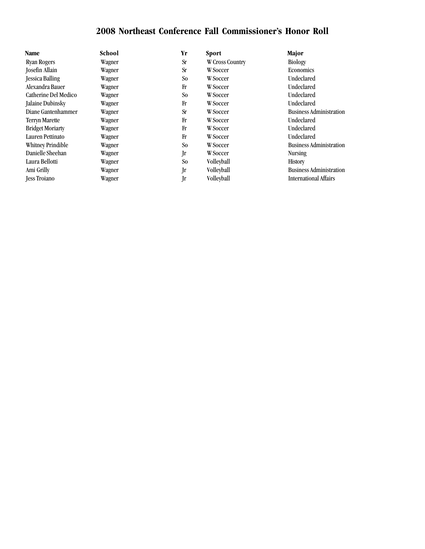| Name                    | School | Yr        | <b>Sport</b>           | Major                          |
|-------------------------|--------|-----------|------------------------|--------------------------------|
| <b>Ryan Rogers</b>      | Wagner | <b>Sr</b> | <b>W</b> Cross Country | <b>Biology</b>                 |
| <b>Josefin Allain</b>   | Wagner | <b>Sr</b> | W Soccer               | <b>Economics</b>               |
| <b>Jessica Balling</b>  | Wagner | So.       | W Soccer               | Undeclared                     |
| Alexandra Bauer         | Wagner | Fr        | <b>W</b> Soccer        | Undeclared                     |
| Catherine Del Medico    | Wagner | So.       | W Soccer               | Undeclared                     |
| Jalaine Dubinsky        | Wagner | Fr        | <b>W</b> Soccer        | Undeclared                     |
| Diane Gantenhammer      | Wagner | <b>Sr</b> | <b>W</b> Soccer        | <b>Business Administration</b> |
| <b>Terryn Marette</b>   | Wagner | Fr        | W Soccer               | Undeclared                     |
| <b>Bridget Moriarty</b> | Wagner | Fr        | <b>W</b> Soccer        | Undeclared                     |
| Lauren Pettinato        | Wagner | Fr        | <b>W</b> Soccer        | <b>Undeclared</b>              |
| Whitney Prindible       | Wagner | So.       | W Soccer               | <b>Business Administration</b> |
| Danielle Sheehan        | Wagner | Jr        | W Soccer               | <b>Nursing</b>                 |
| Laura Bellotti          | Wagner | So        | <b>Volleyball</b>      | <b>History</b>                 |
| Ami Grilly              | Wagner | Jr        | Volleyball             | <b>Business Administration</b> |
| <b>Jess Trojano</b>     | Wagner | Jr        | Volleyball             | <b>International Affairs</b>   |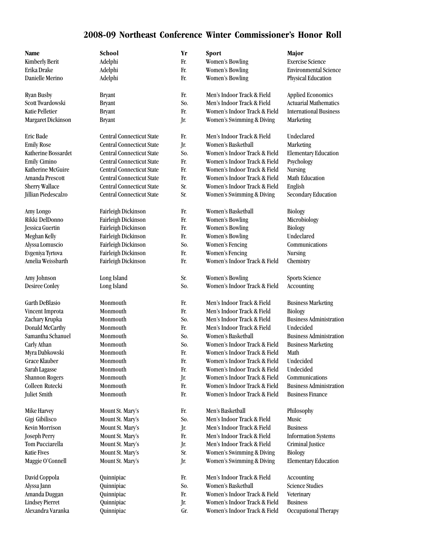## **2008-09 Northeast Conference Winter Commissioner's Honor Roll**

| Name                   | School                           | Yr  | Sport                        | Major                          |
|------------------------|----------------------------------|-----|------------------------------|--------------------------------|
| <b>Kimberly Berit</b>  | Adelphi                          | Fr. | <b>Women's Bowling</b>       | <b>Exercise Science</b>        |
| Erika Drake            | Adelphi                          | Fr. | <b>Women's Bowling</b>       | <b>Environmental Science</b>   |
| Danielle Merino        | Adelphi                          | Fr. | <b>Women's Bowling</b>       | Physical Education             |
| Ryan Busby             | <b>Bryant</b>                    | Fr. | Men's Indoor Track & Field   | <b>Applied Economics</b>       |
| Scott Twardowski       | <b>Bryant</b>                    | So. | Men's Indoor Track & Field   | <b>Actuarial Mathematics</b>   |
| <b>Katie Pelletier</b> | <b>Bryant</b>                    | Fr. | Women's Indoor Track & Field | <b>International Business</b>  |
| Margaret Dickinson     | <b>Bryant</b>                    | Jr. | Women's Swimming & Diving    | Marketing                      |
| <b>Eric Bade</b>       | <b>Central Connecticut State</b> | Fr. | Men's Indoor Track & Field   | Undeclared                     |
| <b>Emily Rose</b>      | <b>Central Connecticut State</b> | Jr. | Women's Basketball           | Marketing                      |
| Katherine Bossardet    | <b>Central Connecticut State</b> | So. | Women's Indoor Track & Field | <b>Elementary Education</b>    |
| Emily Cimino           | <b>Central Connecticut State</b> | Fr. | Women's Indoor Track & Field | Psychology                     |
| Katherine McGuire      | <b>Central Connecticut State</b> | Fr. | Women's Indoor Track & Field | <b>Nursing</b>                 |
| Amanda Prescott        | <b>Central Connecticut State</b> | Fr. | Women's Indoor Track & Field | Math Education                 |
| Sherry Wallace         | <b>Central Connecticut State</b> | Sr. | Women's Indoor Track & Field | English                        |
| Jillian Piedescalzo    | Central Connecticut State        | Sr. | Women's Swimming & Diving    | Secondary Education            |
| Amy Longo              | Fairleigh Dickinson              | Fr. | Women's Basketball           | <b>Biology</b>                 |
| Rikki DelDonno         | Fairleigh Dickinson              | Fr. | <b>Women's Bowling</b>       | Microbiology                   |
| Jessica Guertin        | Fairleigh Dickinson              | Fr. | <b>Women's Bowling</b>       | <b>Biology</b>                 |
| Meghan Kelly           | Fairleigh Dickinson              | Fr. | <b>Women's Bowling</b>       | Undeclared                     |
| Alyssa Lomuscio        | Fairleigh Dickinson              | So. | Women's Fencing              | Communications                 |
| Evgeniya Tyrtova       | Fairleigh Dickinson              | Fr. | <b>Women's Fencing</b>       | <b>Nursing</b>                 |
| Amelia Weissbarth      | Fairleigh Dickinson              | Fr. | Women's Indoor Track & Field | Chemistry                      |
| Amy Johnson            | Long Island                      | Sr. | <b>Women's Bowling</b>       | <b>Sports Science</b>          |
| <b>Desiree Conley</b>  | Long Island                      | So. | Women's Indoor Track & Field | Accounting                     |
| Garth DeBlasio         | Monmouth                         | Fr. | Men's Indoor Track & Field   | <b>Business Marketing</b>      |
| Vincent Improta        | Monmouth                         | Fr. | Men's Indoor Track & Field   | <b>Biology</b>                 |
| Zachary Krupka         | Monmouth                         | So. | Men's Indoor Track & Field   | <b>Business Administration</b> |
| Donald McCarthy        | Monmouth                         | Fr. | Men's Indoor Track & Field   | Undecided                      |
| Samantha Schanuel      | Monmouth                         | So. | Women's Basketball           | <b>Business Administration</b> |
| Carly Athan            | Monmouth                         | So. | Women's Indoor Track & Field | <b>Business Marketing</b>      |
| Myra Dabkowski         | Monmouth                         | Fr. | Women's Indoor Track & Field | Math                           |
| Grace Klauber          | Monmouth                         | Fr. | Women's Indoor Track & Field | Undecided                      |
| Sarah Lagasse          | Monmouth                         | Fr. | Women's Indoor Track & Field | Undecided                      |
| <b>Shannon Rogers</b>  | Monmouth                         | Jr. | Women's Indoor Track & Field | Communications                 |
| Colleen Rutecki        | Monmouth                         | Fr. | Women's Indoor Track & Field | <b>Business Administration</b> |
| <b>Juliet Smith</b>    | Monmouth                         | Fr. | Women's Indoor Track & Field | <b>Business Finance</b>        |
| Mike Harvey            | Mount St. Mary's                 | Fr. | Men's Basketball             | Philosophy                     |
| Gigi Gibilisco         | Mount St. Mary's                 | So. | Men's Indoor Track & Field   | Music                          |
| <b>Kevin Morrison</b>  | Mount St. Mary's                 | Jr. | Men's Indoor Track & Field   | <b>Business</b>                |
| <b>Joseph Perry</b>    | Mount St. Mary's                 | Fr. | Men's Indoor Track & Field   | <b>Information Systems</b>     |
| Tom Pucciarella        | Mount St. Mary's                 | Jr. | Men's Indoor Track & Field   | Criminal Justice               |
| <b>Katie Fives</b>     | Mount St. Mary's                 | Sr. | Women's Swimming & Diving    | <b>Biology</b>                 |
| Maggie O'Connell       | Mount St. Mary's                 | Jr. | Women's Swimming & Diving    | <b>Elementary Education</b>    |
| David Coppola          | Quinnipiac                       | Fr. | Men's Indoor Track & Field   | Accounting                     |
| Alyssa Jann            | Quinnipiac                       | So. | Women's Basketball           | <b>Science Studies</b>         |
| Amanda Duggan          | Quinnipiac                       | Fr. | Women's Indoor Track & Field | Veterinary                     |
| <b>Lindsey Pierret</b> | Quinnipiac                       | Jr. | Women's Indoor Track & Field | <b>Business</b>                |
| Alexandra Varanka      | Quinnipiac                       | Gr. | Women's Indoor Track & Field | Occupational Therapy           |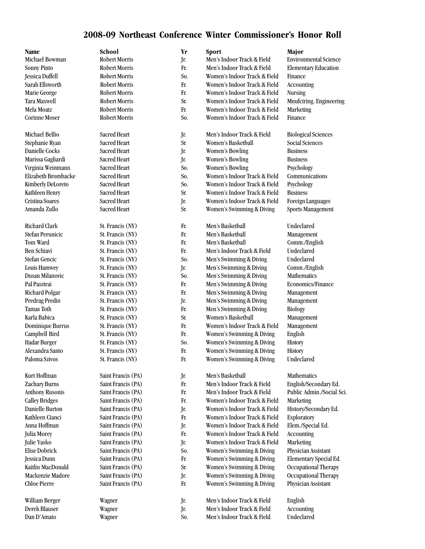## **2008-09 Northeast Conference Winter Commissioner's Honor Roll**

| Name                     | School               | Yr  | Sport                        | Major                        |
|--------------------------|----------------------|-----|------------------------------|------------------------------|
| Michael Bowman           | <b>Robert Morris</b> | Jr. | Men's Indoor Track & Field   | <b>Environmental Science</b> |
| <b>Sonny Pinto</b>       | <b>Robert Morris</b> | Fr. | Men's Indoor Track & Field   | <b>Elementary Education</b>  |
| Jessica Duffell          | <b>Robert Morris</b> | So. | Women's Indoor Track & Field | Finance                      |
| Sarah Ellsworth          | <b>Robert Morris</b> | Fr. | Women's Indoor Track & Field | <b>Accounting</b>            |
| Marie George             | <b>Robert Morris</b> | Fr. | Women's Indoor Track & Field | <b>Nursing</b>               |
| Tara Maxwell             | <b>Robert Morris</b> | Sr. | Women's Indoor Track & Field | Mnufctring. Engineering      |
| Mela Moatz               | <b>Robert Morris</b> | Fr. | Women's Indoor Track & Field | Marketing                    |
| <b>Corinne Moser</b>     | <b>Robert Morris</b> | So. | Women's Indoor Track & Field | Finance                      |
| Michael Bellio           | Sacred Heart         | Jr. | Men's Indoor Track & Field   | <b>Biological Sciences</b>   |
| Stephanie Ryan           | Sacred Heart         | Sr. | Women's Basketball           | <b>Social Sciences</b>       |
| Danielle Cocks           | Sacred Heart         | Jr. | <b>Women's Bowling</b>       | <b>Business</b>              |
| Marissa Gagliardi        | Sacred Heart         | Jr. | Women's Bowling              | <b>Business</b>              |
| Virginia Weinmann        | Sacred Heart         | So. | <b>Women's Bowling</b>       | Psychology                   |
| Elizabeth Brombacke      | Sacred Heart         | So. | Women's Indoor Track & Field | Communications               |
| <b>Kimberly DeLoreto</b> | Sacred Heart         | So. | Women's Indoor Track & Field | Psychology                   |
| Kathleen Henry           | Sacred Heart         | Sr. | Women's Indoor Track & Field | <b>Business</b>              |
| Cristina Soares          | Sacred Heart         | Jr. | Women's Indoor Track & Field | Foreign Languages            |
| Amanda Zullo             | Sacred Heart         | Sr. | Women's Swimming & Diving    | <b>Sports Management</b>     |
| Richard Clark            | St. Francis (NY)     | Fr. | Men's Basketball             | Undeclared                   |
| Stefan Perunicic         | St. Francis (NY)     | Fr. | Men's Basketball             | Management                   |
| Tom Ward                 | St. Francis (NY)     | Fr. | Men's Basketball             | Comm./English                |
| Ben Schiavi              | St. Francis (NY)     | Fr. | Men's Indoor Track & Field   | Undeclared                   |
| Stefan Gencic            | St. Francis (NY)     | So. | Men's Swimming & Diving      | Undeclared                   |
| Louis Hamwey             | St. Francis (NY)     | Jr. | Men's Swimming & Diving      | Comm./English                |
| Dusan Milanovic          | St. Francis (NY)     | So. | Men's Swimming & Diving      | Mathematics                  |
| Pal Pasztrai             | St. Francis (NY)     | Fr. | Men's Swimming & Diving      | Economics/Finance            |
| <b>Richard Polgar</b>    | St. Francis (NY)     | Fr. | Men's Swimming & Diving      | Management                   |
| Predrag Predin           | St. Francis (NY)     | Jr. | Men's Swimming & Diving      | Management                   |
| Tamas Toth               | St. Francis (NY)     | Fr. | Men's Swimming & Diving      | <b>Biology</b>               |
| Karla Babica             | St. Francis (NY)     | Sr. | Women's Basketball           | Management                   |
| Dominique Burrus         | St. Francis (NY)     | Fr. | Women's Indoor Track & Field | Management                   |
| Campbell Bird            | St. Francis (NY)     | Fr. | Women's Swimming & Diving    | English                      |
| Hadar Burger             | St. Francis (NY)     | So. | Women's Swimming & Diving    | History                      |
| Alexandra Santo          | St. Francis (NY)     | Fr. | Women's Swimming & Diving    | History                      |
| Paloma Szivos            | St. Francis (NY)     | Fr. | Women's Swimming & Diving    | Undeclared                   |
| Kurt Hoffman             | Saint Francis (PA)   | Jr. | Men's Basketball             | Mathematics                  |
| Zachary Burns            | Saint Francis (PA)   | Fr. | Men's Indoor Track & Field   | English/Secondary Ed.        |
| <b>Anthony Rusonis</b>   | Saint Francis (PA)   | Fr. | Men's Indoor Track & Field   | Public Admin./Social Sci.    |
| <b>Calley Bridges</b>    | Saint Francis (PA)   | Fr. | Women's Indoor Track & Field | Marketing                    |
| Danielle Burton          | Saint Francis (PA)   | Jr. | Women's Indoor Track & Field | History/Secondary Ed.        |
| Kathleen Cianci          | Saint Francis (PA)   | Fr. | Women's Indoor Track & Field | Exploratory                  |
| Anna Hoffman             | Saint Francis (PA)   | Jr. | Women's Indoor Track & Field | Elem./Special Ed.            |
| Julia Morey              | Saint Francis (PA)   | Fr. | Women's Indoor Track & Field | <b>Accounting</b>            |
| Julie Yasko              | Saint Francis (PA)   | Jr. | Women's Indoor Track & Field | Marketing                    |
| <b>Elise Dobrick</b>     | Saint Francis (PA)   | So. | Women's Swimming & Diving    | Physician Assistant          |
| Jessica Dunn             | Saint Francis (PA)   | Fr. | Women's Swimming & Diving    | Elementary Special Ed.       |
| Kaitlin MacDonald        | Saint Francis (PA)   | Sr. | Women's Swimming & Diving    | Occupational Therapy         |
| Mackenzie Madore         | Saint Francis (PA)   | Jr. | Women's Swimming & Diving    | Occupational Therapy         |
| <b>Chloe Pierre</b>      | Saint Francis (PA)   | Fr. | Women's Swimming & Diving    | Physician Assistant          |
| William Berger           | Wagner               | Jr. | Men's Indoor Track & Field   | English                      |
| Derek Blauser            | Wagner               | Jr. | Men's Indoor Track & Field   | <b>Accounting</b>            |
| Dan D'Amato              | Wagner               | So. | Men's Indoor Track & Field   | Undeclared                   |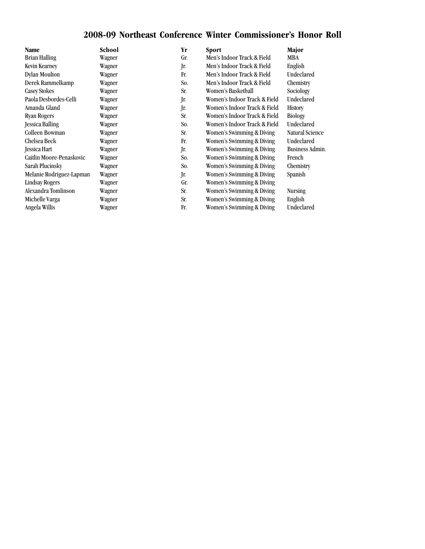## **2008-09 Northeast Conference Winter Commissioner's Honor Roll**

| Name                     | School | Yr  | <b>Sport</b>                 | Major             |
|--------------------------|--------|-----|------------------------------|-------------------|
| <b>Brian Halling</b>     | Wagner | Gr. | Men's Indoor Track & Field   | MBA               |
| Kevin Kearney            | Wagner | Jr. | Men's Indoor Track & Field   | English           |
| Dylan Moulton            | Wagner | Fr. | Men's Indoor Track & Field   | Undeclared        |
| Derek Rammelkamp         | Wagner | So. | Men's Indoor Track & Field   | Chemistry         |
| Casey Stokes             | Wagner | Sr. | Women's Basketball           | Sociology         |
| Paola Desbordes-Celli    | Wagner | Jr. | Women's Indoor Track & Field | <b>Undeclared</b> |
| Amanda Gland             | Wagner | Jr. | Women's Indoor Track & Field | <b>History</b>    |
| <b>Ryan Rogers</b>       | Wagner | Sr. | Women's Indoor Track & Field | <b>Biology</b>    |
| <b>Jessica Balling</b>   | Wagner | So. | Women's Indoor Track & Field | <b>Undeclared</b> |
| Colleen Bowman           | Wagner | Sr. | Women's Swimming & Diving    | Natural Science   |
| Chelsea Beck             | Wagner | Fr. | Women's Swimming & Diving    | <b>Undeclared</b> |
| <b>Jessica Hart</b>      | Wagner | Jr. | Women's Swimming & Diving    | Business Admin.   |
| Caitlin Moore-Penaskovic | Wagner | So. | Women's Swimming & Diving    | French            |
| Sarah Plucinsky          | Wagner | So. | Women's Swimming & Diving    | Chemistry         |
| Melanie Rodriguez-Lapman | Wagner | Jr. | Women's Swimming & Diving    | Spanish           |
| <b>Lindsay Rogers</b>    | Wagner | Gr. | Women's Swimming & Diving    |                   |
| Alexandra Tomlinson      | Wagner | Sr. | Women's Swimming & Diving    | <b>Nursing</b>    |
| Michelle Varga           | Wagner | Sr. | Women's Swimming & Diving    | English           |
| Angela Willis            | Wagner | Fr. | Women's Swimming & Diving    | Undeclared        |
|                          |        |     |                              |                   |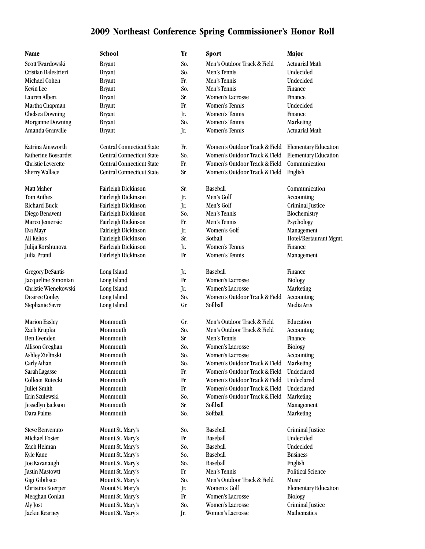| Cristian Balestrieri      | 1                              |
|---------------------------|--------------------------------|
| Michael Cohen             |                                |
| <b>Kevin Lee</b>          |                                |
| Lauren Albert             |                                |
| Martha Chapman            |                                |
| <b>Chelsea Downing</b>    |                                |
| <b>Morganne Downing</b>   |                                |
| Amanda Granville          |                                |
| Katrina Ainsworth         |                                |
| Katherine Bossardet       |                                |
| <b>Christie Leverette</b> |                                |
| Sherry Wallace            | (                              |
| <b>Matt Maher</b>         | 1                              |
| <b>Tom Anthes</b>         | 1                              |
| <b>Richard Buck</b>       | 1                              |
| Diego Benavent            |                                |
| Marco Jemersic            |                                |
| Eva Mayr                  |                                |
| Ali Keltos                | l                              |
| Julija Korshunova         | 1                              |
| Julia Prantl              | l                              |
| <b>Gregory DeSantis</b>   | I                              |
| Jacqueline Simonian       |                                |
| Christie Wienekowski      |                                |
| Desiree Conley            | l                              |
| Stephanie Savre           | l                              |
| <b>Marion Easley</b>      | ]                              |
| Zach Krupka               | 1                              |
| <b>Ben Evenden</b>        | $\begin{array}{c} \end{array}$ |
| Allison Greghan           | $\begin{array}{c} \end{array}$ |
| Ashley Zielinski          | $\begin{array}{c} \end{array}$ |
| Carly Athan               | l                              |

**Name School Yr Sport Major** Scott Twardowski Bryant Bryant So. Men's Outdoor Track & Field Actuarial Math Cristian Balestrieri Bryant So. Men's Tennis Undecided Michael Cohen Bryant Fr. Men's Tennis Undecided Kevin Lee Bryant So. Men's Tennis Finance Bryant Sr. Women's Lacrosse Finance Bryant Fr. Women's Tennis Undecided Bryant Jr. Women's Tennis Finance Bryant So. Women's Tennis Marketing Amanda Granville Bryant Jr. Women's Tennis Actuarial Math Central Connecticut State Fr. Women's Outdoor Track & Field Elementary Education Central Connecticut State So. Women's Outdoor Track & Field Elementary Education Central Connecticut State Fr. Women's Outdoor Track & Field Communication Central Connecticut State Sr. Women's Outdoor Track & Field English Matt Maher Fairleigh Dickinson Sr. Baseball Communication Fairleigh Dickinson Jr. Men's Golf Accounting Richard Buck Fairleigh Dickinson Jr. Men's Golf Criminal Justice Fairleigh Dickinson So. Men's Tennis Biochemistry Fairleigh Dickinson Fr. Men's Tennis Psychology Fairleigh Dickinson Jr. Women's Golf Management Fairleigh Dickinson Sr. Sotball Hotel/Restaurant Mgmt. Fairleigh Dickinson Jr. Women's Tennis Finance Fairleigh Dickinson Fr. Women's Tennis Management Gregory DeSantis Long Island Jr. Baseball Finance Long Island Fr. Women's Lacrosse Biology Long Island Jr. Women's Lacrosse Marketing Long Island So. Women's Outdoor Track & Field Accounting Stephanie Savre Long Island Gr. Softball Media Arts Monmouth Gr. Men's Outdoor Track & Field Education Monmouth So. Men's Outdoor Track & Field Accounting Ben Evenden Monmouth Sr. Men's Tennis Finance Monmouth So. Women's Lacrosse Biology Monmouth So. Women's Lacrosse Accounting Monmouth So. Women's Outdoor Track & Field Marketing Sarah Lagasse Monmouth Fr. Women's Outdoor Track & Field Undeclared Colleen Rutecki Monmouth Fr. Women's Outdoor Track & Field Undeclared Juliet Smith Monmouth Fr. Women's Outdoor Track & Field Undeclared Erin Szulewski Monmouth So. Women's Outdoor Track & Field Marketing Jessellyn Jackson Monmouth Sr. Softball Management Dara Palms Monmouth So. Softball Marketing Steve Benvenuto Mount St. Mary's So. Baseball St. Criminal Justice Michael Foster Mount St. Mary's Fr. Baseball Undecided Zach Helman Mount St. Mary's So. Baseball Undecided Kyle Kane Mount St. Mary's So. Baseball Business Joe Kavanaugh Mount St. Mary's So. Baseball English Jastin Mastowtt Mount St. Mary's Fr. Men's Tennis Political Science Gigi Gibilisco Mount St. Mary's So. Men's Outdoor Track & Field Music Christina Koerper Mount St. Mary's Jr. Women's Golf Elementary Education Meaghan Conlan Mount St. Mary's Fr. Women's Lacrosse Biology Aly Jost **Mount St. Mary's** So. Women's Lacrosse Criminal Justice Jackie Kearney Mount St. Mary's Jr. Women's Lacrosse Mathematics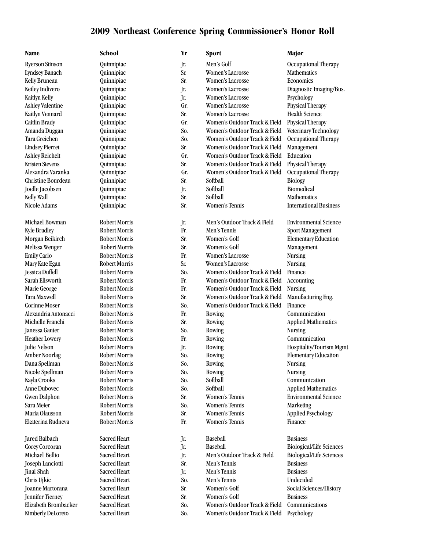| School                                     |
|--------------------------------------------|
| Quinnipiac                                 |
| Quinnipiac                                 |
| Quinnipiac                                 |
| Quinnipiac                                 |
| Quinnipiac                                 |
| Quinnipiac                                 |
| Quinnipiac                                 |
| Quinnipiac                                 |
| Quinnipiac                                 |
| Quinnipiac                                 |
| Quinnipiac                                 |
| Quinnipiac                                 |
| Quinnipiac                                 |
| Quinnipiac                                 |
| Quinnipiac                                 |
| Quinnipiac                                 |
| Quinnipiac                                 |
| Quinnipiac                                 |
|                                            |
| <b>Robert Morris</b>                       |
| <b>Robert Morris</b>                       |
| <b>Robert Morris</b>                       |
| <b>Robert Morris</b>                       |
| <b>Robert Morris</b>                       |
| <b>Robert Morris</b>                       |
| <b>Robert Morris</b>                       |
| <b>Robert Morris</b>                       |
| <b>Robert Morris</b>                       |
| <b>Robert Morris</b>                       |
| <b>Robert Morris</b>                       |
| <b>Robert Morris</b>                       |
| <b>Robert Morris</b>                       |
| <b>Robert Morris</b>                       |
| <b>Robert Morris</b>                       |
| <b>Robert Morris</b>                       |
| <b>Robert Morris</b>                       |
| <b>Robert Morris</b>                       |
| <b>Robert Morris</b>                       |
| <b>Robert Morris</b>                       |
| <b>Robert Morris</b>                       |
| <b>Robert Morris</b>                       |
| <b>Robert Morris</b>                       |
| <b>Robert Morris</b>                       |
| <b>Robert Morris</b>                       |
|                                            |
| Sacred Heart                               |
| <b>Sacred Heart</b><br><b>Sacred Heart</b> |
| <b>Sacred Heart</b>                        |
| <b>Sacred Heart</b>                        |
| Sacred Heart                               |
|                                            |

| Name                   | School               | Yr  | <b>Sport</b>                  | Major                           |
|------------------------|----------------------|-----|-------------------------------|---------------------------------|
| <b>Ryerson Stinson</b> | Quinnipiac           | Jr. | Men's Golf                    | Occupational Therapy            |
| <b>Lyndsey Banach</b>  | Quinnipiac           | Sr. | <b>Women's Lacrosse</b>       | Mathematics                     |
| Kelly Bruneau          | Quinnipiac           | Sr. | Women's Lacrosse              | Economics                       |
| Keiley Indivero        | Quinnipiac           | Jr. | <b>Women's Lacrosse</b>       | Diagnostic Imaging/Bus.         |
| Kaitlyn Kelly          | Quinnipiac           | Jr. | Women's Lacrosse              | Psychology                      |
| Ashley Valentine       | Quinnipiac           | Gr. | Women's Lacrosse              | Physical Therapy                |
| Kaitlyn Vennard        | Quinnipiac           | Sr. | Women's Lacrosse              | <b>Health Science</b>           |
| Caitlin Brady          | Quinnipiac           | Gr. | Women's Outdoor Track & Field | Physical Therapy                |
| Amanda Duggan          | Quinnipiac           | So. | Women's Outdoor Track & Field | Veterinary Technology           |
| Tara Greichen          | Quinnipiac           | So. | Women's Outdoor Track & Field | Occupational Therapy            |
| <b>Lindsey Pierret</b> | Quinnipiac           | Sr. | Women's Outdoor Track & Field | Management                      |
| Ashley Reichelt        | Quinnipiac           | Gr. | Women's Outdoor Track & Field | Education                       |
| <b>Kristen Stevens</b> | Quinnipiac           | Sr. | Women's Outdoor Track & Field | Physical Therapy                |
| Alexandra Varanka      | Quinnipiac           | Gr. | Women's Outdoor Track & Field | Occupational Therapy            |
| Christine Bourdeau     | Quinnipiac           | Sr. | Softball                      | Biology                         |
| Joelle Jacobsen        | Quinnipiac           | Jr. | Softball                      | Biomedical                      |
| Kelly Wall             | Quinnipiac           | Sr. | Softball                      | Mathematics                     |
| Nicole Adams           | Quinnipiac           | Sr. | Women's Tennis                | <b>International Business</b>   |
| Michael Bowman         | Robert Morris        | Jr. | Men's Outdoor Track & Field   | <b>Environmental Science</b>    |
| <b>Kyle Bradley</b>    | Robert Morris        | Fr. | Men's Tennis                  | Sport Management                |
| Morgan Beikirch        | Robert Morris        | Sr. | Women's Golf                  | <b>Elementary Education</b>     |
| Melissa Wenger         | Robert Morris        | Sr. | Women's Golf                  | Management                      |
| <b>Emily Carlo</b>     | Robert Morris        | Fr. | Women's Lacrosse              | <b>Nursing</b>                  |
| Mary Kate Egan         | Robert Morris        | Sr. | Women's Lacrosse              | <b>Nursing</b>                  |
| Jessica Duffell        | Robert Morris        | So. | Women's Outdoor Track & Field | Finance                         |
| Sarah Ellsworth        | <b>Robert Morris</b> | Fr. | Women's Outdoor Track & Field | Accounting                      |
| Marie George           | Robert Morris        | Fr. | Women's Outdoor Track & Field | <b>Nursing</b>                  |
| Tara Maxwell           | <b>Robert Morris</b> | Sr. | Women's Outdoor Track & Field | Manufacturing Eng.              |
| <b>Corinne Moser</b>   | <b>Robert Morris</b> | So. | Women's Outdoor Track & Field | Finance                         |
| Alexandria Antonacci   | Robert Morris        | Fr. | Rowing                        | Communication                   |
| Michelle Franchi       | Robert Morris        | Sr. | Rowing                        | <b>Applied Mathematics</b>      |
| Janessa Ganter         | <b>Robert Morris</b> | So. | Rowing                        | <b>Nursing</b>                  |
| <b>Heather Lowery</b>  | Robert Morris        | Fr. | Rowing                        | Communication                   |
| Julie Nelson           | <b>Robert Morris</b> | Jr. | Rowing                        | Hospitality/Tourism Mgmt        |
| <b>Amber Noorlag</b>   | Robert Morris        | So. | Rowing                        | <b>Elementary Education</b>     |
| Dana Spellman          | Robert Morris        | So. | Rowing                        | <b>Nursing</b>                  |
| Nicole Spellman        | <b>Robert Morris</b> | So. | Rowing                        | <b>Nursing</b>                  |
| Kayla Crooks           | <b>Robert Morris</b> | So. | Softball                      | Communication                   |
| Anne Dubovec           | Robert Morris        | So. | Softball                      | <b>Applied Mathematics</b>      |
| <b>Gwen Dalphon</b>    | <b>Robert Morris</b> | Sr. | Women's Tennis                | <b>Environmental Science</b>    |
| Sara Meier             | <b>Robert Morris</b> | So. | Women's Tennis                | Marketing                       |
| Maria Olausson         | <b>Robert Morris</b> | Sr. | Women's Tennis                | <b>Applied Psychology</b>       |
| Ekaterina Rudneva      | Robert Morris        | Fr. | Women's Tennis                | Finance                         |
| Jared Balbach          | Sacred Heart         | Jr. | Baseball                      | <b>Business</b>                 |
| Corey Corcoran         | Sacred Heart         | Jr. | Baseball                      | <b>Biological/Life Sciences</b> |
| Michael Bellio         | Sacred Heart         | Jr. | Men's Outdoor Track & Field   | <b>Biological/Life Sciences</b> |
| Joseph Lanciotti       | Sacred Heart         | Sr. | Men's Tennis                  | <b>Business</b>                 |
| Jinal Shah             | Sacred Heart         | Jr. | Men's Tennis                  | <b>Business</b>                 |
| Chris Ujkic            | Sacred Heart         | So. | Men's Tennis                  | Undecided                       |
| Joanne Martorana       | <b>Sacred Heart</b>  | Sr. | Women's Golf                  | Social Sciences/History         |
| Jennifer Tierney       | <b>Sacred Heart</b>  | Sr. | Women's Golf                  | <b>Business</b>                 |
| Elizabeth Brombacker   | Sacred Heart         | So. | Women's Outdoor Track & Field | Communications                  |
| Kimberly DeLoreto      | Sacred Heart         | So. | Women's Outdoor Track & Field | Psychology                      |